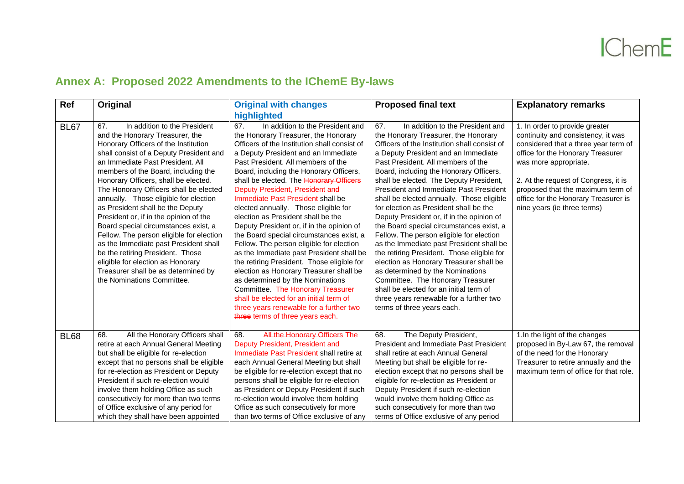## **Annex A: Proposed 2022 Amendments to the IChemE By-laws**

| Ref         | Original                                                                                                                                                                                                                                                                                                                                                                                                                                                                                                                                                                                                                                                                                                                 | <b>Original with changes</b>                                                                                                                                                                                                                                                                                                                                                                                                                                                                                                                                                                                                                                                                                                                                                                                                                                                                                                          | <b>Proposed final text</b>                                                                                                                                                                                                                                                                                                                                                                                                                                                                                                                                                                                                                                                                                                                                                                                                                                                                                        | <b>Explanatory remarks</b>                                                                                                                                                                                                                                                                                                     |
|-------------|--------------------------------------------------------------------------------------------------------------------------------------------------------------------------------------------------------------------------------------------------------------------------------------------------------------------------------------------------------------------------------------------------------------------------------------------------------------------------------------------------------------------------------------------------------------------------------------------------------------------------------------------------------------------------------------------------------------------------|---------------------------------------------------------------------------------------------------------------------------------------------------------------------------------------------------------------------------------------------------------------------------------------------------------------------------------------------------------------------------------------------------------------------------------------------------------------------------------------------------------------------------------------------------------------------------------------------------------------------------------------------------------------------------------------------------------------------------------------------------------------------------------------------------------------------------------------------------------------------------------------------------------------------------------------|-------------------------------------------------------------------------------------------------------------------------------------------------------------------------------------------------------------------------------------------------------------------------------------------------------------------------------------------------------------------------------------------------------------------------------------------------------------------------------------------------------------------------------------------------------------------------------------------------------------------------------------------------------------------------------------------------------------------------------------------------------------------------------------------------------------------------------------------------------------------------------------------------------------------|--------------------------------------------------------------------------------------------------------------------------------------------------------------------------------------------------------------------------------------------------------------------------------------------------------------------------------|
|             |                                                                                                                                                                                                                                                                                                                                                                                                                                                                                                                                                                                                                                                                                                                          | highlighted                                                                                                                                                                                                                                                                                                                                                                                                                                                                                                                                                                                                                                                                                                                                                                                                                                                                                                                           |                                                                                                                                                                                                                                                                                                                                                                                                                                                                                                                                                                                                                                                                                                                                                                                                                                                                                                                   |                                                                                                                                                                                                                                                                                                                                |
| <b>BL67</b> | In addition to the President<br>67.<br>and the Honorary Treasurer, the<br>Honorary Officers of the Institution<br>shall consist of a Deputy President and<br>an Immediate Past President, All<br>members of the Board, including the<br>Honorary Officers, shall be elected.<br>The Honorary Officers shall be elected<br>annually. Those eligible for election<br>as President shall be the Deputy<br>President or, if in the opinion of the<br>Board special circumstances exist, a<br>Fellow. The person eligible for election<br>as the Immediate past President shall<br>be the retiring President. Those<br>eligible for election as Honorary<br>Treasurer shall be as determined by<br>the Nominations Committee. | 67.<br>In addition to the President and<br>the Honorary Treasurer, the Honorary<br>Officers of the Institution shall consist of<br>a Deputy President and an Immediate<br>Past President. All members of the<br>Board, including the Honorary Officers,<br>shall be elected. The Honorary Officers<br>Deputy President, President and<br>Immediate Past President shall be<br>elected annually. Those eligible for<br>election as President shall be the<br>Deputy President or, if in the opinion of<br>the Board special circumstances exist, a<br>Fellow. The person eligible for election<br>as the Immediate past President shall be<br>the retiring President. Those eligible for<br>election as Honorary Treasurer shall be<br>as determined by the Nominations<br>Committee. The Honorary Treasurer<br>shall be elected for an initial term of<br>three years renewable for a further two<br>three terms of three years each. | 67.<br>In addition to the President and<br>the Honorary Treasurer, the Honorary<br>Officers of the Institution shall consist of<br>a Deputy President and an Immediate<br>Past President. All members of the<br>Board, including the Honorary Officers,<br>shall be elected. The Deputy President,<br><b>President and Immediate Past President</b><br>shall be elected annually. Those eligible<br>for election as President shall be the<br>Deputy President or, if in the opinion of<br>the Board special circumstances exist, a<br>Fellow. The person eligible for election<br>as the Immediate past President shall be<br>the retiring President. Those eligible for<br>election as Honorary Treasurer shall be<br>as determined by the Nominations<br>Committee. The Honorary Treasurer<br>shall be elected for an initial term of<br>three years renewable for a further two<br>terms of three years each. | 1. In order to provide greater<br>continuity and consistency, it was<br>considered that a three year term of<br>office for the Honorary Treasurer<br>was more appropriate.<br>2. At the request of Congress, it is<br>proposed that the maximum term of<br>office for the Honorary Treasurer is<br>nine years (ie three terms) |
| <b>BL68</b> | 68.<br>All the Honorary Officers shall<br>retire at each Annual General Meeting<br>but shall be eligible for re-election<br>except that no persons shall be eligible<br>for re-election as President or Deputy<br>President if such re-election would<br>involve them holding Office as such<br>consecutively for more than two terms<br>of Office exclusive of any period for<br>which they shall have been appointed                                                                                                                                                                                                                                                                                                   | All the Honorary Officers The<br>68.<br>Deputy President, President and<br>Immediate Past President shall retire at<br>each Annual General Meeting but shall<br>be eligible for re-election except that no<br>persons shall be eligible for re-election<br>as President or Deputy President if such<br>re-election would involve them holding<br>Office as such consecutively for more<br>than two terms of Office exclusive of any                                                                                                                                                                                                                                                                                                                                                                                                                                                                                                   | 68.<br>The Deputy President,<br><b>President and Immediate Past President</b><br>shall retire at each Annual General<br>Meeting but shall be eligible for re-<br>election except that no persons shall be<br>eligible for re-election as President or<br>Deputy President if such re-election<br>would involve them holding Office as<br>such consecutively for more than two<br>terms of Office exclusive of any period                                                                                                                                                                                                                                                                                                                                                                                                                                                                                          | 1. In the light of the changes<br>proposed in By-Law 67, the removal<br>of the need for the Honorary<br>Treasurer to retire annually and the<br>maximum term of office for that role.                                                                                                                                          |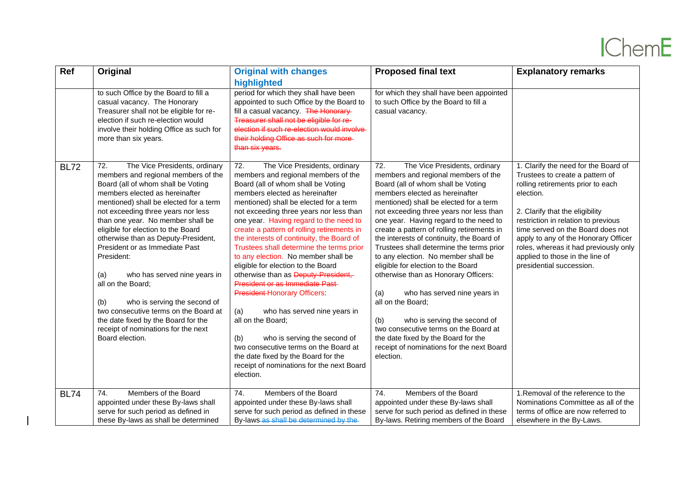## **IChemE**

| Ref         | Original                                                                                                                                                                                                                                                                                                                                                                                                                                                                                                                                                                                                                                           | <b>Original with changes</b>                                                                                                                                                                                                                                                                                                                                                                                                                                                                                                                                                                                                                                                                                                                                                                                                                                         | <b>Proposed final text</b>                                                                                                                                                                                                                                                                                                                                                                                                                                                                                                                                                                                                                                                                                                                                                                                | <b>Explanatory remarks</b>                                                                                                                                                                                                                                                                                                                                                               |
|-------------|----------------------------------------------------------------------------------------------------------------------------------------------------------------------------------------------------------------------------------------------------------------------------------------------------------------------------------------------------------------------------------------------------------------------------------------------------------------------------------------------------------------------------------------------------------------------------------------------------------------------------------------------------|----------------------------------------------------------------------------------------------------------------------------------------------------------------------------------------------------------------------------------------------------------------------------------------------------------------------------------------------------------------------------------------------------------------------------------------------------------------------------------------------------------------------------------------------------------------------------------------------------------------------------------------------------------------------------------------------------------------------------------------------------------------------------------------------------------------------------------------------------------------------|-----------------------------------------------------------------------------------------------------------------------------------------------------------------------------------------------------------------------------------------------------------------------------------------------------------------------------------------------------------------------------------------------------------------------------------------------------------------------------------------------------------------------------------------------------------------------------------------------------------------------------------------------------------------------------------------------------------------------------------------------------------------------------------------------------------|------------------------------------------------------------------------------------------------------------------------------------------------------------------------------------------------------------------------------------------------------------------------------------------------------------------------------------------------------------------------------------------|
|             |                                                                                                                                                                                                                                                                                                                                                                                                                                                                                                                                                                                                                                                    | highlighted                                                                                                                                                                                                                                                                                                                                                                                                                                                                                                                                                                                                                                                                                                                                                                                                                                                          |                                                                                                                                                                                                                                                                                                                                                                                                                                                                                                                                                                                                                                                                                                                                                                                                           |                                                                                                                                                                                                                                                                                                                                                                                          |
|             | to such Office by the Board to fill a<br>casual vacancy. The Honorary<br>Treasurer shall not be eligible for re-<br>election if such re-election would<br>involve their holding Office as such for<br>more than six years.                                                                                                                                                                                                                                                                                                                                                                                                                         | period for which they shall have been<br>appointed to such Office by the Board to<br>fill a casual vacancy. The Honorary-<br>Treasurer shall not be eligible for re-<br>election if such re-election would involve<br>their holding Office as such for more-<br>than six years.                                                                                                                                                                                                                                                                                                                                                                                                                                                                                                                                                                                      | for which they shall have been appointed<br>to such Office by the Board to fill a<br>casual vacancy.                                                                                                                                                                                                                                                                                                                                                                                                                                                                                                                                                                                                                                                                                                      |                                                                                                                                                                                                                                                                                                                                                                                          |
| <b>BL72</b> | 72.<br>The Vice Presidents, ordinary<br>members and regional members of the<br>Board (all of whom shall be Voting<br>members elected as hereinafter<br>mentioned) shall be elected for a term<br>not exceeding three years nor less<br>than one year. No member shall be<br>eligible for election to the Board<br>otherwise than as Deputy-President,<br>President or as Immediate Past<br>President:<br>who has served nine years in<br>(a)<br>all on the Board;<br>(b)<br>who is serving the second of<br>two consecutive terms on the Board at<br>the date fixed by the Board for the<br>receipt of nominations for the next<br>Board election. | 72.<br>The Vice Presidents, ordinary<br>members and regional members of the<br>Board (all of whom shall be Voting<br>members elected as hereinafter<br>mentioned) shall be elected for a term<br>not exceeding three years nor less than<br>one year. Having regard to the need to<br>create a pattern of rolling retirements in<br>the interests of continuity, the Board of<br>Trustees shall determine the terms prior<br>to any election. No member shall be<br>eligible for election to the Board<br>otherwise than as Deputy-President,<br>President or as Immediate Past-<br><b>President-Honorary Officers:</b><br>(a)<br>who has served nine years in<br>all on the Board;<br>(b)<br>who is serving the second of<br>two consecutive terms on the Board at<br>the date fixed by the Board for the<br>receipt of nominations for the next Board<br>election. | $\overline{72}$ .<br>The Vice Presidents, ordinary<br>members and regional members of the<br>Board (all of whom shall be Voting<br>members elected as hereinafter<br>mentioned) shall be elected for a term<br>not exceeding three years nor less than<br>one year. Having regard to the need to<br>create a pattern of rolling retirements in<br>the interests of continuity, the Board of<br>Trustees shall determine the terms prior<br>to any election. No member shall be<br>eligible for election to the Board<br>otherwise than as Honorary Officers:<br>who has served nine years in<br>(a)<br>all on the Board;<br>(b)<br>who is serving the second of<br>two consecutive terms on the Board at<br>the date fixed by the Board for the<br>receipt of nominations for the next Board<br>election. | 1. Clarify the need for the Board of<br>Trustees to create a pattern of<br>rolling retirements prior to each<br>election.<br>2. Clarify that the eligibility<br>restriction in relation to previous<br>time served on the Board does not<br>apply to any of the Honorary Officer<br>roles, whereas it had previously only<br>applied to those in the line of<br>presidential succession. |
| <b>BL74</b> | Members of the Board<br>74.                                                                                                                                                                                                                                                                                                                                                                                                                                                                                                                                                                                                                        | Members of the Board<br>74.                                                                                                                                                                                                                                                                                                                                                                                                                                                                                                                                                                                                                                                                                                                                                                                                                                          | 74.<br>Members of the Board                                                                                                                                                                                                                                                                                                                                                                                                                                                                                                                                                                                                                                                                                                                                                                               | 1. Removal of the reference to the                                                                                                                                                                                                                                                                                                                                                       |
|             | appointed under these By-laws shall                                                                                                                                                                                                                                                                                                                                                                                                                                                                                                                                                                                                                | appointed under these By-laws shall                                                                                                                                                                                                                                                                                                                                                                                                                                                                                                                                                                                                                                                                                                                                                                                                                                  | appointed under these By-laws shall                                                                                                                                                                                                                                                                                                                                                                                                                                                                                                                                                                                                                                                                                                                                                                       | Nominations Committee as all of the                                                                                                                                                                                                                                                                                                                                                      |
|             | serve for such period as defined in                                                                                                                                                                                                                                                                                                                                                                                                                                                                                                                                                                                                                | serve for such period as defined in these                                                                                                                                                                                                                                                                                                                                                                                                                                                                                                                                                                                                                                                                                                                                                                                                                            | serve for such period as defined in these                                                                                                                                                                                                                                                                                                                                                                                                                                                                                                                                                                                                                                                                                                                                                                 | terms of office are now referred to                                                                                                                                                                                                                                                                                                                                                      |
|             | these By-laws as shall be determined                                                                                                                                                                                                                                                                                                                                                                                                                                                                                                                                                                                                               | By-laws-as shall be determined by the                                                                                                                                                                                                                                                                                                                                                                                                                                                                                                                                                                                                                                                                                                                                                                                                                                | By-laws. Retiring members of the Board                                                                                                                                                                                                                                                                                                                                                                                                                                                                                                                                                                                                                                                                                                                                                                    | elsewhere in the By-Laws.                                                                                                                                                                                                                                                                                                                                                                |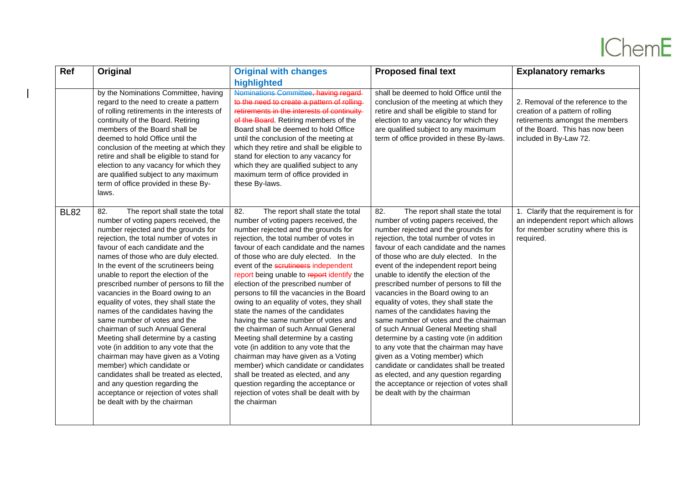## **IChemE**

| <b>Ref</b>  | Original                                                                                                                                                                                                                                                                                                                                                                                                                                                                                                                                                                                                                                                                                                                                                                                                                                                                             | <b>Original with changes</b>                                                                                                                                                                                                                                                                                                                                                                                                                                                                                                                                                                                                                                                                                                                                                                                                                                                                                     | <b>Proposed final text</b>                                                                                                                                                                                                                                                                                                                                                                                                                                                                                                                                                                                                                                                                                                                                                                                                                                                                 | <b>Explanatory remarks</b>                                                                                                                                             |
|-------------|--------------------------------------------------------------------------------------------------------------------------------------------------------------------------------------------------------------------------------------------------------------------------------------------------------------------------------------------------------------------------------------------------------------------------------------------------------------------------------------------------------------------------------------------------------------------------------------------------------------------------------------------------------------------------------------------------------------------------------------------------------------------------------------------------------------------------------------------------------------------------------------|------------------------------------------------------------------------------------------------------------------------------------------------------------------------------------------------------------------------------------------------------------------------------------------------------------------------------------------------------------------------------------------------------------------------------------------------------------------------------------------------------------------------------------------------------------------------------------------------------------------------------------------------------------------------------------------------------------------------------------------------------------------------------------------------------------------------------------------------------------------------------------------------------------------|--------------------------------------------------------------------------------------------------------------------------------------------------------------------------------------------------------------------------------------------------------------------------------------------------------------------------------------------------------------------------------------------------------------------------------------------------------------------------------------------------------------------------------------------------------------------------------------------------------------------------------------------------------------------------------------------------------------------------------------------------------------------------------------------------------------------------------------------------------------------------------------------|------------------------------------------------------------------------------------------------------------------------------------------------------------------------|
|             | by the Nominations Committee, having<br>regard to the need to create a pattern<br>of rolling retirements in the interests of<br>continuity of the Board. Retiring<br>members of the Board shall be<br>deemed to hold Office until the<br>conclusion of the meeting at which they<br>retire and shall be eligible to stand for                                                                                                                                                                                                                                                                                                                                                                                                                                                                                                                                                        | highlighted<br>Nominations Committee, having regard<br>to the need to create a pattern of rolling<br>retirements in the interests of continuity<br>of the Board. Retiring members of the<br>Board shall be deemed to hold Office<br>until the conclusion of the meeting at<br>which they retire and shall be eligible to<br>stand for election to any vacancy for                                                                                                                                                                                                                                                                                                                                                                                                                                                                                                                                                | shall be deemed to hold Office until the<br>conclusion of the meeting at which they<br>retire and shall be eligible to stand for<br>election to any vacancy for which they<br>are qualified subject to any maximum<br>term of office provided in these By-laws.                                                                                                                                                                                                                                                                                                                                                                                                                                                                                                                                                                                                                            | 2. Removal of the reference to the<br>creation of a pattern of rolling<br>retirements amongst the members<br>of the Board. This has now been<br>included in By-Law 72. |
|             | election to any vacancy for which they<br>are qualified subject to any maximum<br>term of office provided in these By-<br>laws.                                                                                                                                                                                                                                                                                                                                                                                                                                                                                                                                                                                                                                                                                                                                                      | which they are qualified subject to any<br>maximum term of office provided in<br>these By-laws.                                                                                                                                                                                                                                                                                                                                                                                                                                                                                                                                                                                                                                                                                                                                                                                                                  |                                                                                                                                                                                                                                                                                                                                                                                                                                                                                                                                                                                                                                                                                                                                                                                                                                                                                            |                                                                                                                                                                        |
| <b>BL82</b> | 82.<br>The report shall state the total<br>number of voting papers received, the<br>number rejected and the grounds for<br>rejection, the total number of votes in<br>favour of each candidate and the<br>names of those who are duly elected.<br>In the event of the scrutineers being<br>unable to report the election of the<br>prescribed number of persons to fill the<br>vacancies in the Board owing to an<br>equality of votes, they shall state the<br>names of the candidates having the<br>same number of votes and the<br>chairman of such Annual General<br>Meeting shall determine by a casting<br>vote (in addition to any vote that the<br>chairman may have given as a Voting<br>member) which candidate or<br>candidates shall be treated as elected.<br>and any question regarding the<br>acceptance or rejection of votes shall<br>be dealt with by the chairman | 82.<br>The report shall state the total<br>number of voting papers received, the<br>number rejected and the grounds for<br>rejection, the total number of votes in<br>favour of each candidate and the names<br>of those who are duly elected. In the<br>event of the scrutineers independent<br>report being unable to report identify the<br>election of the prescribed number of<br>persons to fill the vacancies in the Board<br>owing to an equality of votes, they shall<br>state the names of the candidates<br>having the same number of votes and<br>the chairman of such Annual General<br>Meeting shall determine by a casting<br>vote (in addition to any vote that the<br>chairman may have given as a Voting<br>member) which candidate or candidates<br>shall be treated as elected, and any<br>question regarding the acceptance or<br>rejection of votes shall be dealt with by<br>the chairman | 82.<br>The report shall state the total<br>number of voting papers received, the<br>number rejected and the grounds for<br>rejection, the total number of votes in<br>favour of each candidate and the names<br>of those who are duly elected. In the<br>event of the independent report being<br>unable to identify the election of the<br>prescribed number of persons to fill the<br>vacancies in the Board owing to an<br>equality of votes, they shall state the<br>names of the candidates having the<br>same number of votes and the chairman<br>of such Annual General Meeting shall<br>determine by a casting vote (in addition<br>to any vote that the chairman may have<br>given as a Voting member) which<br>candidate or candidates shall be treated<br>as elected, and any question regarding<br>the acceptance or rejection of votes shall<br>be dealt with by the chairman | 1. Clarify that the requirement is for<br>an independent report which allows<br>for member scrutiny where this is<br>required.                                         |

 $\overline{\phantom{a}}$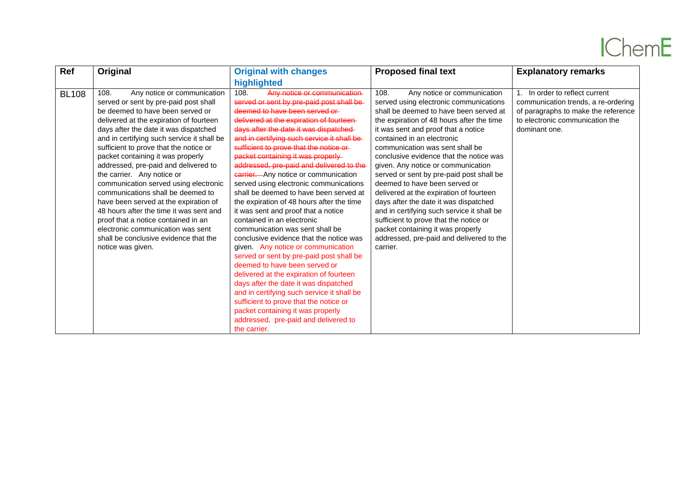## **IChemE**

| Ref<br>Original<br><b>Original with changes</b>                                                                                                                                                                                                                                                                                                                                                                                                                                                                                                                                                                                                                                                                                                                                                                                                                                                                                                                                                                                                                                                                                                                                                                                                                                                                                                                                                                                                                                                                                                                                                                                                                                                                                                                                                                                                             | <b>Proposed final text</b>                                                                                                                                                                                                                                                                                                                                                                                                                                                                                                                                                                                                                                                                      | <b>Explanatory remarks</b>                                                                                                                                       |
|-------------------------------------------------------------------------------------------------------------------------------------------------------------------------------------------------------------------------------------------------------------------------------------------------------------------------------------------------------------------------------------------------------------------------------------------------------------------------------------------------------------------------------------------------------------------------------------------------------------------------------------------------------------------------------------------------------------------------------------------------------------------------------------------------------------------------------------------------------------------------------------------------------------------------------------------------------------------------------------------------------------------------------------------------------------------------------------------------------------------------------------------------------------------------------------------------------------------------------------------------------------------------------------------------------------------------------------------------------------------------------------------------------------------------------------------------------------------------------------------------------------------------------------------------------------------------------------------------------------------------------------------------------------------------------------------------------------------------------------------------------------------------------------------------------------------------------------------------------------|-------------------------------------------------------------------------------------------------------------------------------------------------------------------------------------------------------------------------------------------------------------------------------------------------------------------------------------------------------------------------------------------------------------------------------------------------------------------------------------------------------------------------------------------------------------------------------------------------------------------------------------------------------------------------------------------------|------------------------------------------------------------------------------------------------------------------------------------------------------------------|
| highlighted                                                                                                                                                                                                                                                                                                                                                                                                                                                                                                                                                                                                                                                                                                                                                                                                                                                                                                                                                                                                                                                                                                                                                                                                                                                                                                                                                                                                                                                                                                                                                                                                                                                                                                                                                                                                                                                 |                                                                                                                                                                                                                                                                                                                                                                                                                                                                                                                                                                                                                                                                                                 |                                                                                                                                                                  |
| 108.<br>Any notice or communication<br>108.<br>108.<br>Any notice or communication<br><b>BL108</b><br>served or sent by pre-paid post shall be<br>served or sent by pre-paid post shall<br>deemed to have been served or<br>be deemed to have been served or<br>delivered at the expiration of fourteen-<br>delivered at the expiration of fourteen<br>days after the date it was dispatched<br>days after the date it was dispatched<br>and in certifying such service it shall be-<br>and in certifying such service it shall be<br>sufficient to prove that the notice or-<br>sufficient to prove that the notice or<br>packet containing it was properly-<br>packet containing it was properly<br>addressed, pre-paid and delivered to the<br>addressed, pre-paid and delivered to<br>the carrier. Any notice or<br><b>Garrier.</b> Any notice or communication<br>communication served using electronic<br>served using electronic communications<br>communications shall be deemed to<br>shall be deemed to have been served at<br>have been served at the expiration of<br>the expiration of 48 hours after the time<br>48 hours after the time it was sent and<br>it was sent and proof that a notice<br>contained in an electronic<br>proof that a notice contained in an<br>communication was sent shall be<br>electronic communication was sent<br>shall be conclusive evidence that the<br>conclusive evidence that the notice was<br>given. Any notice or communication<br>notice was given.<br>carrier.<br>served or sent by pre-paid post shall be<br>deemed to have been served or<br>delivered at the expiration of fourteen<br>days after the date it was dispatched<br>and in certifying such service it shall be<br>sufficient to prove that the notice or<br>packet containing it was properly<br>addressed, pre-paid and delivered to | Any notice or communication<br>served using electronic communications<br>shall be deemed to have been served at<br>the expiration of 48 hours after the time<br>it was sent and proof that a notice<br>contained in an electronic<br>communication was sent shall be<br>conclusive evidence that the notice was<br>given. Any notice or communication<br>served or sent by pre-paid post shall be<br>deemed to have been served or<br>delivered at the expiration of fourteen<br>days after the date it was dispatched<br>and in certifying such service it shall be<br>sufficient to prove that the notice or<br>packet containing it was properly<br>addressed, pre-paid and delivered to the | 1. In order to reflect current<br>communication trends, a re-ordering<br>of paragraphs to make the reference<br>to electronic communication the<br>dominant one. |